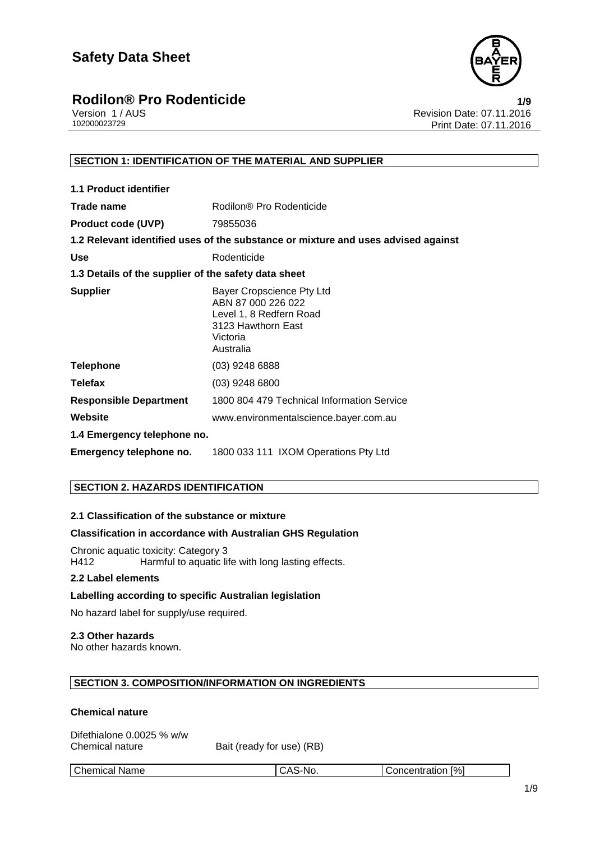

# **Rodilon® Pro Rodenticide**<br>Version 1/AUS **1/9**<br>Revision Date: 07.11.2016

Version 1 / AUS<br>102000023729 Print Date: 07.11.2016<br>Print Date: 07.11.2016 Print Date: 07.11.2016

#### **SECTION 1: IDENTIFICATION OF THE MATERIAL AND SUPPLIER**

| <b>1.1 Product identifier</b>                        |                                                                                                                           |
|------------------------------------------------------|---------------------------------------------------------------------------------------------------------------------------|
| Trade name                                           | Rodilon® Pro Rodenticide                                                                                                  |
| <b>Product code (UVP)</b>                            | 79855036                                                                                                                  |
|                                                      | 1.2 Relevant identified uses of the substance or mixture and uses advised against                                         |
| <b>Use</b>                                           | Rodenticide                                                                                                               |
| 1.3 Details of the supplier of the safety data sheet |                                                                                                                           |
| <b>Supplier</b>                                      | Bayer Cropscience Pty Ltd<br>ABN 87 000 226 022<br>Level 1, 8 Redfern Road<br>3123 Hawthorn East<br>Victoria<br>Australia |
| <b>Telephone</b>                                     | (03) 9248 6888                                                                                                            |
| <b>Telefax</b>                                       | $(03)$ 9248 6800                                                                                                          |
| <b>Responsible Department</b>                        | 1800 804 479 Technical Information Service                                                                                |
| Website                                              | www.environmentalscience.bayer.com.au                                                                                     |
| 1.4 Emergency telephone no.                          |                                                                                                                           |
| Emergency telephone no.                              | 1800 033 111 IXOM Operations Pty Ltd                                                                                      |

#### **SECTION 2. HAZARDS IDENTIFICATION**

#### **2.1 Classification of the substance or mixture**

#### **Classification in accordance with Australian GHS Regulation**

Chronic aquatic toxicity: Category 3<br>H412 Harmful to aquatic lif Harmful to aquatic life with long lasting effects.

#### **2.2 Label elements**

#### **Labelling according to specific Australian legislation**

No hazard label for supply/use required.

#### **2.3 Other hazards**

No other hazards known.

#### **SECTION 3. COMPOSITION/INFORMATION ON INGREDIENTS**

#### **Chemical nature**

| Difethialone 0.0025 % w/w |  |
|---------------------------|--|
| Chemical nature           |  |

Bait (ready for use) (RB)

Chemical Name CAS-No. CAS-No. Concentration [%]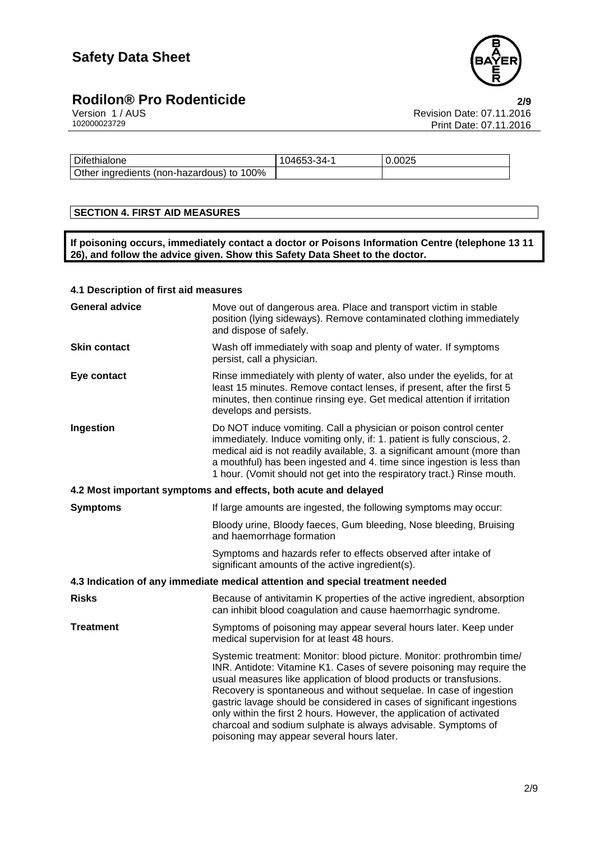

# **Rodilon® Pro Rodenticide**<br>Version 1/AUS **2/9**<br>Revision Date: 07.11.2016

Version 1 / AUS Revision Date: 07.11.2016 Print Date: 07.11.2016

| Difethialone                              | 104653-34-1 | 0.0025 |
|-------------------------------------------|-------------|--------|
| Other ingredients (non-hazardous) to 100% |             |        |

#### **SECTION 4. FIRST AID MEASURES**

**If poisoning occurs, immediately contact a doctor or Poisons Information Centre (telephone 13 11 26), and follow the advice given. Show this Safety Data Sheet to the doctor.**

#### **4.1 Description of first aid measures**

| <b>General advice</b> | Move out of dangerous area. Place and transport victim in stable<br>position (lying sideways). Remove contaminated clothing immediately<br>and dispose of safely.                                                                                                                                                                                                                                                                                                                                                                                           |
|-----------------------|-------------------------------------------------------------------------------------------------------------------------------------------------------------------------------------------------------------------------------------------------------------------------------------------------------------------------------------------------------------------------------------------------------------------------------------------------------------------------------------------------------------------------------------------------------------|
| <b>Skin contact</b>   | Wash off immediately with soap and plenty of water. If symptoms<br>persist, call a physician.                                                                                                                                                                                                                                                                                                                                                                                                                                                               |
| Eye contact           | Rinse immediately with plenty of water, also under the eyelids, for at<br>least 15 minutes. Remove contact lenses, if present, after the first 5<br>minutes, then continue rinsing eye. Get medical attention if irritation<br>develops and persists.                                                                                                                                                                                                                                                                                                       |
| Ingestion             | Do NOT induce vomiting. Call a physician or poison control center<br>immediately. Induce vomiting only, if: 1. patient is fully conscious, 2.<br>medical aid is not readily available, 3. a significant amount (more than<br>a mouthful) has been ingested and 4. time since ingestion is less than<br>1 hour. (Vomit should not get into the respiratory tract.) Rinse mouth.                                                                                                                                                                              |
|                       | 4.2 Most important symptoms and effects, both acute and delayed                                                                                                                                                                                                                                                                                                                                                                                                                                                                                             |
| <b>Symptoms</b>       | If large amounts are ingested, the following symptoms may occur:                                                                                                                                                                                                                                                                                                                                                                                                                                                                                            |
|                       | Bloody urine, Bloody faeces, Gum bleeding, Nose bleeding, Bruising<br>and haemorrhage formation                                                                                                                                                                                                                                                                                                                                                                                                                                                             |
|                       | Symptoms and hazards refer to effects observed after intake of<br>significant amounts of the active ingredient(s).                                                                                                                                                                                                                                                                                                                                                                                                                                          |
|                       | 4.3 Indication of any immediate medical attention and special treatment needed                                                                                                                                                                                                                                                                                                                                                                                                                                                                              |
| <b>Risks</b>          | Because of antivitamin K properties of the active ingredient, absorption<br>can inhibit blood coagulation and cause haemorrhagic syndrome.                                                                                                                                                                                                                                                                                                                                                                                                                  |
| <b>Treatment</b>      | Symptoms of poisoning may appear several hours later. Keep under<br>medical supervision for at least 48 hours.                                                                                                                                                                                                                                                                                                                                                                                                                                              |
|                       | Systemic treatment: Monitor: blood picture. Monitor: prothrombin time/<br>INR. Antidote: Vitamine K1. Cases of severe poisoning may require the<br>usual measures like application of blood products or transfusions.<br>Recovery is spontaneous and without sequelae. In case of ingestion<br>gastric lavage should be considered in cases of significant ingestions<br>only within the first 2 hours. However, the application of activated<br>charcoal and sodium sulphate is always advisable. Symptoms of<br>poisoning may appear several hours later. |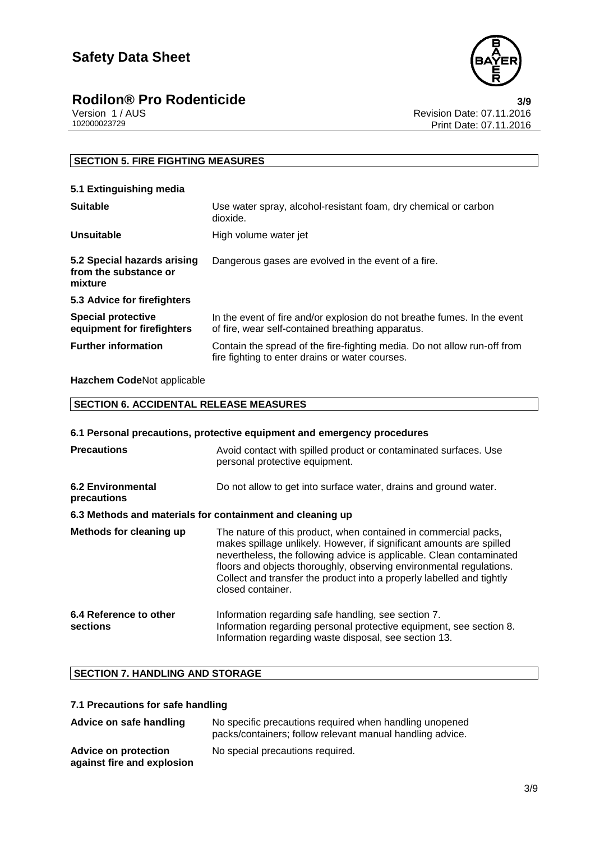

### **Rodilon® Pro Rodenticide 3/9**

|              | Version 1 / AUS |  |  |
|--------------|-----------------|--|--|
| 102000023729 |                 |  |  |

Revision Date: 07.11.2016 Print Date: 07.11.2016

#### **SECTION 5. FIRE FIGHTING MEASURES**

| 5.1 Extinguishing media                                         |                                                                                                                               |
|-----------------------------------------------------------------|-------------------------------------------------------------------------------------------------------------------------------|
| <b>Suitable</b>                                                 | Use water spray, alcohol-resistant foam, dry chemical or carbon<br>dioxide.                                                   |
| Unsuitable                                                      | High volume water jet                                                                                                         |
| 5.2 Special hazards arising<br>from the substance or<br>mixture | Dangerous gases are evolved in the event of a fire.                                                                           |
| 5.3 Advice for firefighters                                     |                                                                                                                               |
| <b>Special protective</b><br>equipment for firefighters         | In the event of fire and/or explosion do not breathe fumes. In the event<br>of fire, wear self-contained breathing apparatus. |
| <b>Further information</b>                                      | Contain the spread of the fire-fighting media. Do not allow run-off from<br>fire fighting to enter drains or water courses.   |

**Hazchem Code**Not applicable

| <b>SECTION 6. ACCIDENTAL RELEASE MEASURES</b> |  |
|-----------------------------------------------|--|
|                                               |  |

| 6.1 Personal precautions, protective equipment and emergency procedures |                                                                                                                                                                                                                                                                                                                                                                                      |  |  |
|-------------------------------------------------------------------------|--------------------------------------------------------------------------------------------------------------------------------------------------------------------------------------------------------------------------------------------------------------------------------------------------------------------------------------------------------------------------------------|--|--|
| <b>Precautions</b>                                                      | Avoid contact with spilled product or contaminated surfaces. Use<br>personal protective equipment.                                                                                                                                                                                                                                                                                   |  |  |
| <b>6.2 Environmental</b><br>precautions                                 | Do not allow to get into surface water, drains and ground water.                                                                                                                                                                                                                                                                                                                     |  |  |
| 6.3 Methods and materials for containment and cleaning up               |                                                                                                                                                                                                                                                                                                                                                                                      |  |  |
| Methods for cleaning up                                                 | The nature of this product, when contained in commercial packs,<br>makes spillage unlikely. However, if significant amounts are spilled<br>nevertheless, the following advice is applicable. Clean contaminated<br>floors and objects thoroughly, observing environmental regulations.<br>Collect and transfer the product into a properly labelled and tightly<br>closed container. |  |  |
| 6.4 Reference to other<br>sections                                      | Information regarding safe handling, see section 7.<br>Information regarding personal protective equipment, see section 8.<br>Information regarding waste disposal, see section 13.                                                                                                                                                                                                  |  |  |

### **SECTION 7. HANDLING AND STORAGE**

#### **7.1 Precautions for safe handling**

| Advice on safe handling                                   | No specific precautions required when handling unopened<br>packs/containers; follow relevant manual handling advice. |
|-----------------------------------------------------------|----------------------------------------------------------------------------------------------------------------------|
| <b>Advice on protection</b><br>against fire and explosion | No special precautions required.                                                                                     |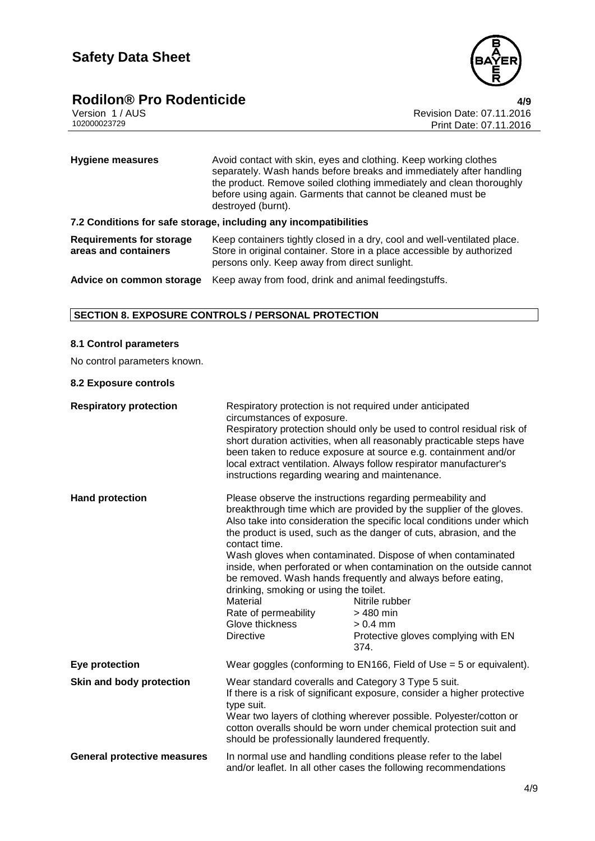

### **Rodilon® Pro Rodenticide 4/9**

| Version 1/AUS |  |
|---------------|--|
| 102000023729  |  |

Revision Date: 07.11.2016 Print Date: 07.11.2016

| <b>Hygiene measures</b>                                          | Avoid contact with skin, eyes and clothing. Keep working clothes<br>separately. Wash hands before breaks and immediately after handling<br>the product. Remove soiled clothing immediately and clean thoroughly<br>before using again. Garments that cannot be cleaned must be<br>destroyed (burnt). |  |
|------------------------------------------------------------------|------------------------------------------------------------------------------------------------------------------------------------------------------------------------------------------------------------------------------------------------------------------------------------------------------|--|
| 7.2 Conditions for safe storage, including any incompatibilities |                                                                                                                                                                                                                                                                                                      |  |
| <b>Requirements for storage</b><br>areas and containers          | Keep containers tightly closed in a dry, cool and well-ventilated place.<br>Store in original container. Store in a place accessible by authorized<br>persons only. Keep away from direct sunlight.                                                                                                  |  |
| Advice on common storage                                         | Keep away from food, drink and animal feedingstuffs.                                                                                                                                                                                                                                                 |  |

#### **SECTION 8. EXPOSURE CONTROLS / PERSONAL PROTECTION**

#### **8.1 Control parameters**

No control parameters known.

#### **8.2 Exposure controls**

| <b>Respiratory protection</b>      | Respiratory protection is not required under anticipated<br>circumstances of exposure.<br>Respiratory protection should only be used to control residual risk of<br>short duration activities, when all reasonably practicable steps have<br>been taken to reduce exposure at source e.g. containment and/or<br>local extract ventilation. Always follow respirator manufacturer's<br>instructions regarding wearing and maintenance. |                                                                                                                                                                                                                                                                                                                                                                                                                                                                                                                                                                                    |
|------------------------------------|---------------------------------------------------------------------------------------------------------------------------------------------------------------------------------------------------------------------------------------------------------------------------------------------------------------------------------------------------------------------------------------------------------------------------------------|------------------------------------------------------------------------------------------------------------------------------------------------------------------------------------------------------------------------------------------------------------------------------------------------------------------------------------------------------------------------------------------------------------------------------------------------------------------------------------------------------------------------------------------------------------------------------------|
| <b>Hand protection</b>             | contact time.<br>drinking, smoking or using the toilet.<br>Material<br>Rate of permeability<br>Glove thickness<br><b>Directive</b>                                                                                                                                                                                                                                                                                                    | Please observe the instructions regarding permeability and<br>breakthrough time which are provided by the supplier of the gloves.<br>Also take into consideration the specific local conditions under which<br>the product is used, such as the danger of cuts, abrasion, and the<br>Wash gloves when contaminated. Dispose of when contaminated<br>inside, when perforated or when contamination on the outside cannot<br>be removed. Wash hands frequently and always before eating,<br>Nitrile rubber<br>> 480 min<br>$> 0.4$ mm<br>Protective gloves complying with EN<br>374. |
| Eye protection                     | Wear goggles (conforming to $EN166$ , Field of Use = 5 or equivalent).                                                                                                                                                                                                                                                                                                                                                                |                                                                                                                                                                                                                                                                                                                                                                                                                                                                                                                                                                                    |
| Skin and body protection           | Wear standard coveralls and Category 3 Type 5 suit.<br>If there is a risk of significant exposure, consider a higher protective<br>type suit.<br>Wear two layers of clothing wherever possible. Polyester/cotton or<br>cotton overalls should be worn under chemical protection suit and<br>should be professionally laundered frequently.                                                                                            |                                                                                                                                                                                                                                                                                                                                                                                                                                                                                                                                                                                    |
| <b>General protective measures</b> | In normal use and handling conditions please refer to the label<br>and/or leaflet. In all other cases the following recommendations                                                                                                                                                                                                                                                                                                   |                                                                                                                                                                                                                                                                                                                                                                                                                                                                                                                                                                                    |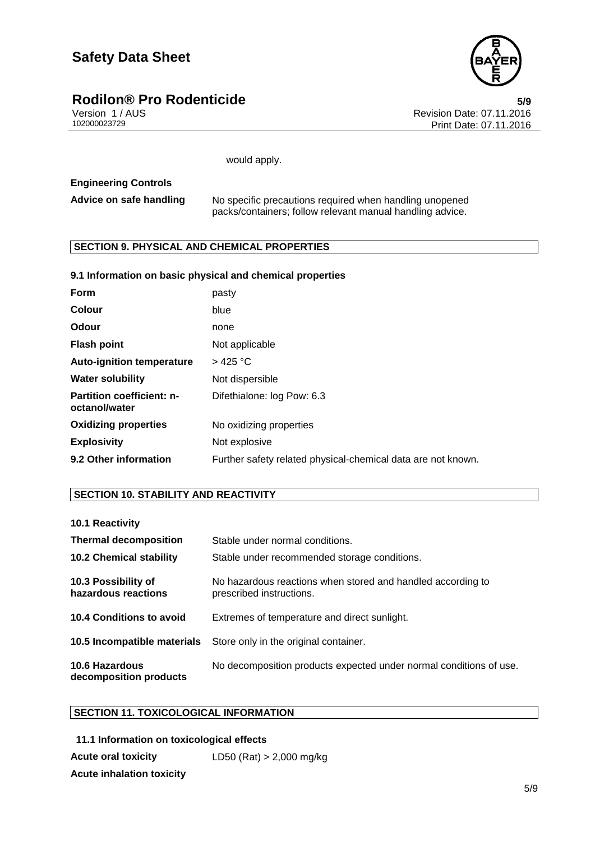### **Safety Data Sheet**



# **Rodilon® Pro Rodenticide**<br>Version 1/AUS **1/2016** version 1/AUS

Version 1 / AUS Revision Date: 07.11.2016 Print Date: 07.11.2016

would apply.

#### **Engineering Controls**

| Advice on safe handling | No specific precautions required when handling unopened   |
|-------------------------|-----------------------------------------------------------|
|                         | packs/containers; follow relevant manual handling advice. |

#### **SECTION 9. PHYSICAL AND CHEMICAL PROPERTIES**

#### **9.1 Information on basic physical and chemical properties**

| Form                                              | pasty                                                        |
|---------------------------------------------------|--------------------------------------------------------------|
| Colour                                            | blue                                                         |
| Odour                                             | none                                                         |
| <b>Flash point</b>                                | Not applicable                                               |
| <b>Auto-ignition temperature</b>                  | $>$ 425 °C                                                   |
| <b>Water solubility</b>                           | Not dispersible                                              |
| <b>Partition coefficient: n-</b><br>octanol/water | Difethialone: log Pow: 6.3                                   |
| <b>Oxidizing properties</b>                       | No oxidizing properties                                      |
| <b>Explosivity</b>                                | Not explosive                                                |
| 9.2 Other information                             | Further safety related physical-chemical data are not known. |

#### **SECTION 10. STABILITY AND REACTIVITY**

| 10.1 Reactivity                                 |                                                                                         |
|-------------------------------------------------|-----------------------------------------------------------------------------------------|
| <b>Thermal decomposition</b>                    | Stable under normal conditions.                                                         |
| <b>10.2 Chemical stability</b>                  | Stable under recommended storage conditions.                                            |
| 10.3 Possibility of<br>hazardous reactions      | No hazardous reactions when stored and handled according to<br>prescribed instructions. |
| 10.4 Conditions to avoid                        | Extremes of temperature and direct sunlight.                                            |
| 10.5 Incompatible materials                     | Store only in the original container.                                                   |
| <b>10.6 Hazardous</b><br>decomposition products | No decomposition products expected under normal conditions of use.                      |

#### **SECTION 11. TOXICOLOGICAL INFORMATION**

**11.1 Information on toxicological effects Acute oral toxicity** LD50 (Rat) > 2,000 mg/kg **Acute inhalation toxicity**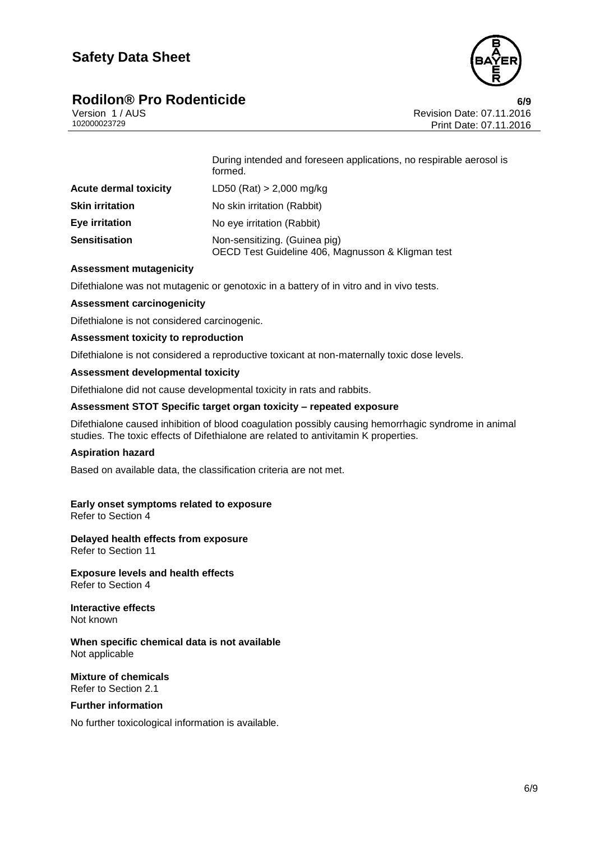



Version 1 / AUS<br>102000023729 Print Date: 07.11.2016<br>Print Date: 07.11.2016 Print Date: 07.11.2016

|                              | During intended and foreseen applications, no respirable aerosol is<br>formed.     |
|------------------------------|------------------------------------------------------------------------------------|
| <b>Acute dermal toxicity</b> | LD50 (Rat) $> 2,000$ mg/kg                                                         |
| <b>Skin irritation</b>       | No skin irritation (Rabbit)                                                        |
| <b>Eye irritation</b>        | No eye irritation (Rabbit)                                                         |
| <b>Sensitisation</b>         | Non-sensitizing. (Guinea pig)<br>OECD Test Guideline 406, Magnusson & Kligman test |

#### **Assessment mutagenicity**

Difethialone was not mutagenic or genotoxic in a battery of in vitro and in vivo tests.

#### **Assessment carcinogenicity**

Difethialone is not considered carcinogenic.

#### **Assessment toxicity to reproduction**

Difethialone is not considered a reproductive toxicant at non-maternally toxic dose levels.

#### **Assessment developmental toxicity**

Difethialone did not cause developmental toxicity in rats and rabbits.

#### **Assessment STOT Specific target organ toxicity – repeated exposure**

Difethialone caused inhibition of blood coagulation possibly causing hemorrhagic syndrome in animal studies. The toxic effects of Difethialone are related to antivitamin K properties.

#### **Aspiration hazard**

Based on available data, the classification criteria are not met.

#### **Early onset symptoms related to exposure**

Refer to Section 4

**Delayed health effects from exposure** Refer to Section 11

**Exposure levels and health effects** Refer to Section 4

**Interactive effects** Not known

**When specific chemical data is not available** Not applicable

**Mixture of chemicals** Refer to Section 2.1

#### **Further information**

No further toxicological information is available.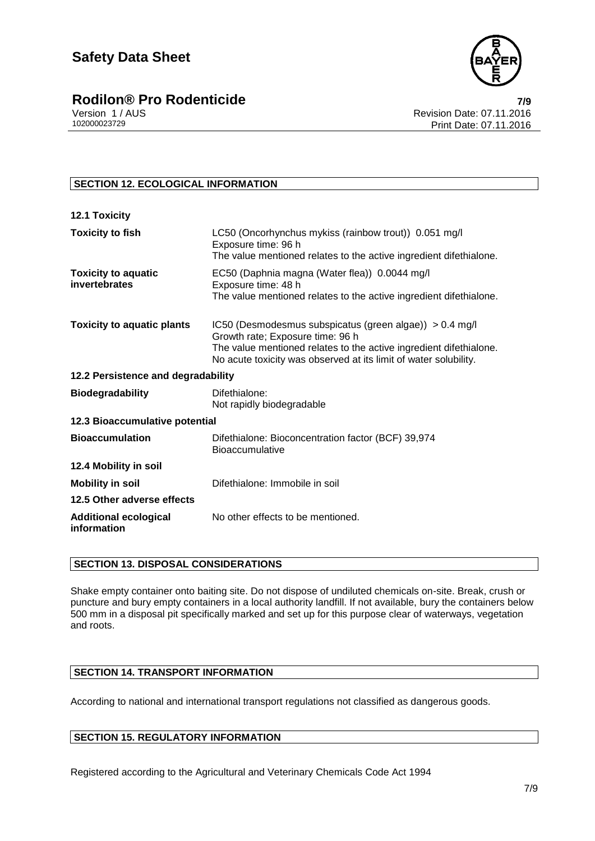

# **Rodilon® Pro Rodenticide**<br>
Version 1/AUS **Pro Rodenticide 1/AUS** Revision Date: 07.11.2016

#### **SECTION 12. ECOLOGICAL INFORMATION**

| <b>12.1 Toxicity</b>                        |                                                                                                                                                                                                                                       |
|---------------------------------------------|---------------------------------------------------------------------------------------------------------------------------------------------------------------------------------------------------------------------------------------|
| <b>Toxicity to fish</b>                     | LC50 (Oncorhynchus mykiss (rainbow trout)) 0.051 mg/l<br>Exposure time: 96 h<br>The value mentioned relates to the active ingredient difethialone.                                                                                    |
| <b>Toxicity to aquatic</b><br>invertebrates | EC50 (Daphnia magna (Water flea)) 0.0044 mg/l<br>Exposure time: 48 h<br>The value mentioned relates to the active ingredient difethialone.                                                                                            |
| <b>Toxicity to aquatic plants</b>           | IC50 (Desmodesmus subspicatus (green algae)) > 0.4 mg/l<br>Growth rate; Exposure time: 96 h<br>The value mentioned relates to the active ingredient difethialone.<br>No acute toxicity was observed at its limit of water solubility. |
| 12.2 Persistence and degradability          |                                                                                                                                                                                                                                       |
| <b>Biodegradability</b>                     | Difethialone:<br>Not rapidly biodegradable                                                                                                                                                                                            |
| 12.3 Bioaccumulative potential              |                                                                                                                                                                                                                                       |
| <b>Bioaccumulation</b>                      | Difethialone: Bioconcentration factor (BCF) 39,974<br><b>Bioaccumulative</b>                                                                                                                                                          |
| 12.4 Mobility in soil                       |                                                                                                                                                                                                                                       |
| <b>Mobility in soil</b>                     | Difethialone: Immobile in soil                                                                                                                                                                                                        |
| 12.5 Other adverse effects                  |                                                                                                                                                                                                                                       |
| <b>Additional ecological</b><br>information | No other effects to be mentioned.                                                                                                                                                                                                     |

#### **SECTION 13. DISPOSAL CONSIDERATIONS**

Shake empty container onto baiting site. Do not dispose of undiluted chemicals on-site. Break, crush or puncture and bury empty containers in a local authority landfill. If not available, bury the containers below 500 mm in a disposal pit specifically marked and set up for this purpose clear of waterways, vegetation and roots.

#### **SECTION 14. TRANSPORT INFORMATION**

According to national and international transport regulations not classified as dangerous goods.

#### **SECTION 15. REGULATORY INFORMATION**

Registered according to the Agricultural and Veterinary Chemicals Code Act 1994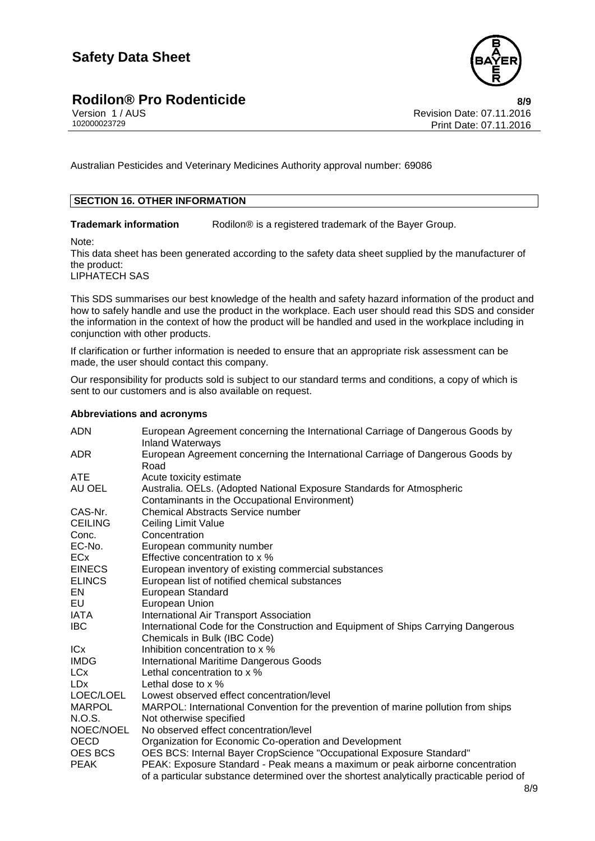### **Rodilon® Pro Rodenticide**<br>Version 1/AUS **8/9**<br>Revision Date: 07.11.2016



Version 1 / AUS<br>102000023729 Print Date: 07.11.2016<br>Print Date: 07.11.2016 Print Date: 07.11.2016

Australian Pesticides and Veterinary Medicines Authority approval number: 69086

#### **SECTION 16. OTHER INFORMATION**

**Trademark information** Rodilon<sup>®</sup> is a registered trademark of the Bayer Group.

Note:

This data sheet has been generated according to the safety data sheet supplied by the manufacturer of the product:

LIPHATECH SAS

This SDS summarises our best knowledge of the health and safety hazard information of the product and how to safely handle and use the product in the workplace. Each user should read this SDS and consider the information in the context of how the product will be handled and used in the workplace including in conjunction with other products.

If clarification or further information is needed to ensure that an appropriate risk assessment can be made, the user should contact this company.

Our responsibility for products sold is subject to our standard terms and conditions, a copy of which is sent to our customers and is also available on request.

#### **Abbreviations and acronyms**

| <b>ADN</b>            | European Agreement concerning the International Carriage of Dangerous Goods by<br><b>Inland Waterways</b>              |
|-----------------------|------------------------------------------------------------------------------------------------------------------------|
| ADR.                  | European Agreement concerning the International Carriage of Dangerous Goods by<br>Road                                 |
| <b>ATE</b>            | Acute toxicity estimate                                                                                                |
| AU OEL                | Australia. OELs. (Adopted National Exposure Standards for Atmospheric<br>Contaminants in the Occupational Environment) |
| CAS-Nr.               | <b>Chemical Abstracts Service number</b>                                                                               |
| <b>CEILING</b>        | <b>Ceiling Limit Value</b>                                                                                             |
| Conc.                 | Concentration                                                                                                          |
| EC-No.                | European community number                                                                                              |
| <b>ECx</b>            | Effective concentration to x %                                                                                         |
| <b>EINECS</b>         | European inventory of existing commercial substances                                                                   |
| <b>ELINCS</b>         | European list of notified chemical substances                                                                          |
| EN                    | <b>European Standard</b>                                                                                               |
| EU                    | European Union                                                                                                         |
| <b>IATA</b>           | International Air Transport Association                                                                                |
| <b>IBC</b>            | International Code for the Construction and Equipment of Ships Carrying Dangerous<br>Chemicals in Bulk (IBC Code)      |
| IC <sub>x</sub>       | Inhibition concentration to x %                                                                                        |
| <b>IMDG</b>           | <b>International Maritime Dangerous Goods</b>                                                                          |
| <b>LC<sub>x</sub></b> | Lethal concentration to x %                                                                                            |
| <b>LDx</b>            | Lethal dose to $\times$ %                                                                                              |
| LOEC/LOEL             | Lowest observed effect concentration/level                                                                             |
| <b>MARPOL</b>         | MARPOL: International Convention for the prevention of marine pollution from ships                                     |
| N.O.S.                | Not otherwise specified                                                                                                |
| NOEC/NOEL             | No observed effect concentration/level                                                                                 |
| <b>OECD</b>           | Organization for Economic Co-operation and Development                                                                 |
| OES BCS               | OES BCS: Internal Bayer CropScience "Occupational Exposure Standard"                                                   |
| <b>PEAK</b>           | PEAK: Exposure Standard - Peak means a maximum or peak airborne concentration                                          |
|                       | of a particular substance determined over the shortest analytically practicable period of                              |